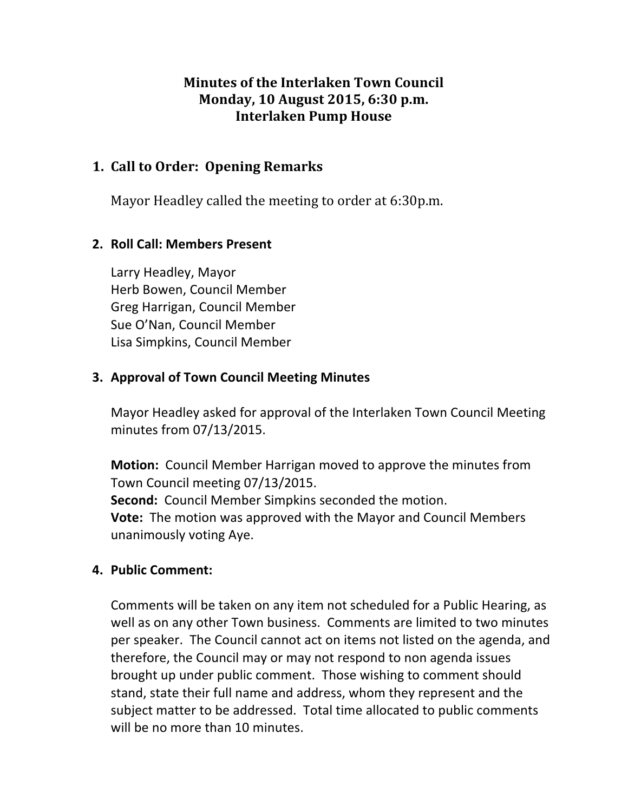## **Minutes of the Interlaken Town Council Monday, 10 August 2015, 6:30 p.m. Interlaken Pump House**

### **1. Call to Order: Opening Remarks**

Mayor Headley called the meeting to order at 6:30p.m.

## **2. Roll Call: Members Present**

Larry Headley, Mayor Herb Bowen, Council Member Greg Harrigan, Council Member Sue O'Nan, Council Member Lisa Simpkins, Council Member

## **3. Approval of Town Council Meeting Minutes**

Mayor Headley asked for approval of the Interlaken Town Council Meeting minutes from 07/13/2015.

**Motion:** Council Member Harrigan moved to approve the minutes from Town Council meeting 07/13/2015.

**Second:** Council Member Simpkins seconded the motion.

**Vote:** The motion was approved with the Mayor and Council Members unanimously voting Aye.

## **4. Public Comment:**

Comments will be taken on any item not scheduled for a Public Hearing, as well as on any other Town business. Comments are limited to two minutes per speaker. The Council cannot act on items not listed on the agenda, and therefore, the Council may or may not respond to non agenda issues brought up under public comment. Those wishing to comment should stand, state their full name and address, whom they represent and the subject matter to be addressed. Total time allocated to public comments will be no more than 10 minutes.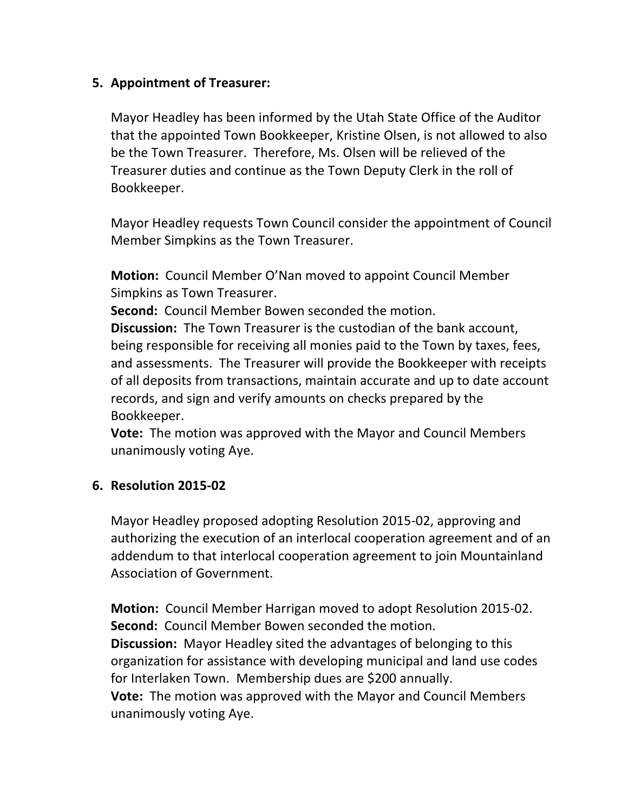#### **5. Appointment of Treasurer:**

Mayor Headley has been informed by the Utah State Office of the Auditor that the appointed Town Bookkeeper, Kristine Olsen, is not allowed to also be the Town Treasurer. Therefore, Ms. Olsen will be relieved of the Treasurer duties and continue as the Town Deputy Clerk in the roll of Bookkeeper.

Mayor Headley requests Town Council consider the appointment of Council Member Simpkins as the Town Treasurer.

**Motion:** Council Member O'Nan moved to appoint Council Member Simpkins as Town Treasurer.

**Second:** Council Member Bowen seconded the motion.

**Discussion:** The Town Treasurer is the custodian of the bank account, being responsible for receiving all monies paid to the Town by taxes, fees, and assessments. The Treasurer will provide the Bookkeeper with receipts of all deposits from transactions, maintain accurate and up to date account records, and sign and verify amounts on checks prepared by the Bookkeeper. 

**Vote:** The motion was approved with the Mayor and Council Members unanimously voting Aye.

#### **6. Resolution 2015-02**

Mayor Headley proposed adopting Resolution 2015-02, approving and authorizing the execution of an interlocal cooperation agreement and of an addendum to that interlocal cooperation agreement to join Mountainland Association of Government.

**Motion:** Council Member Harrigan moved to adopt Resolution 2015-02. **Second:** Council Member Bowen seconded the motion. **Discussion:** Mayor Headley sited the advantages of belonging to this organization for assistance with developing municipal and land use codes for Interlaken Town. Membership dues are \$200 annually. **Vote:** The motion was approved with the Mayor and Council Members unanimously voting Aye.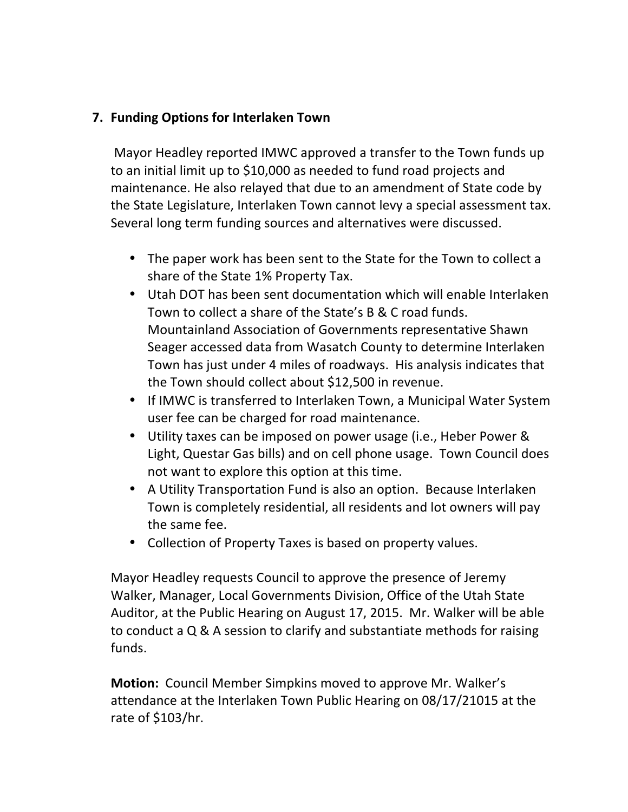## **7. Funding Options for Interlaken Town**

Mayor Headley reported IMWC approved a transfer to the Town funds up to an initial limit up to \$10,000 as needed to fund road projects and maintenance. He also relayed that due to an amendment of State code by the State Legislature, Interlaken Town cannot levy a special assessment tax. Several long term funding sources and alternatives were discussed.

- The paper work has been sent to the State for the Town to collect a share of the State 1% Property Tax.
- Utah DOT has been sent documentation which will enable Interlaken Town to collect a share of the State's B & C road funds. Mountainland Association of Governments representative Shawn Seager accessed data from Wasatch County to determine Interlaken Town has just under 4 miles of roadways. His analysis indicates that the Town should collect about \$12,500 in revenue.
- If IMWC is transferred to Interlaken Town, a Municipal Water System user fee can be charged for road maintenance.
- Utility taxes can be imposed on power usage (i.e., Heber Power & Light, Questar Gas bills) and on cell phone usage. Town Council does not want to explore this option at this time.
- A Utility Transportation Fund is also an option. Because Interlaken Town is completely residential, all residents and lot owners will pay the same fee.
- Collection of Property Taxes is based on property values.

Mayor Headley requests Council to approve the presence of Jeremy Walker, Manager, Local Governments Division, Office of the Utah State Auditor, at the Public Hearing on August 17, 2015. Mr. Walker will be able to conduct a  $Q$  & A session to clarify and substantiate methods for raising funds. 

**Motion:** Council Member Simpkins moved to approve Mr. Walker's attendance at the Interlaken Town Public Hearing on 08/17/21015 at the rate of \$103/hr.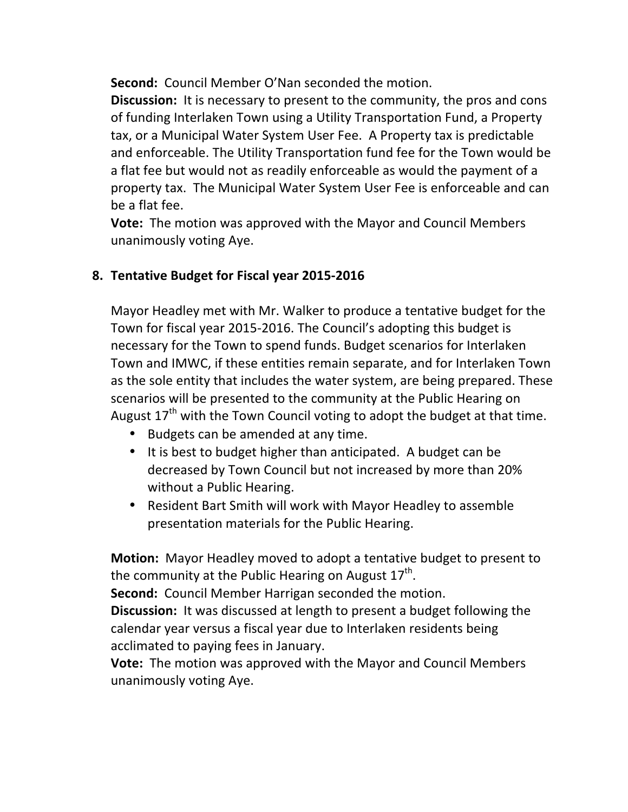**Second:** Council Member O'Nan seconded the motion.

**Discussion:** It is necessary to present to the community, the pros and cons of funding Interlaken Town using a Utility Transportation Fund, a Property tax, or a Municipal Water System User Fee. A Property tax is predictable and enforceable. The Utility Transportation fund fee for the Town would be a flat fee but would not as readily enforceable as would the payment of a property tax. The Municipal Water System User Fee is enforceable and can be a flat fee.

**Vote:** The motion was approved with the Mayor and Council Members unanimously voting Aye.

# **8. Tentative Budget for Fiscal year 2015-2016**

Mayor Headley met with Mr. Walker to produce a tentative budget for the Town for fiscal year 2015-2016. The Council's adopting this budget is necessary for the Town to spend funds. Budget scenarios for Interlaken Town and IMWC, if these entities remain separate, and for Interlaken Town as the sole entity that includes the water system, are being prepared. These scenarios will be presented to the community at the Public Hearing on August  $17^{th}$  with the Town Council voting to adopt the budget at that time.

- Budgets can be amended at any time.
- It is best to budget higher than anticipated. A budget can be decreased by Town Council but not increased by more than 20% without a Public Hearing.
- Resident Bart Smith will work with Mayor Headley to assemble presentation materials for the Public Hearing.

**Motion:** Mayor Headley moved to adopt a tentative budget to present to the community at the Public Hearing on August  $17<sup>th</sup>$ .

**Second:** Council Member Harrigan seconded the motion.

**Discussion:** It was discussed at length to present a budget following the calendar year versus a fiscal year due to Interlaken residents being acclimated to paying fees in January.

**Vote:** The motion was approved with the Mayor and Council Members unanimously voting Aye.